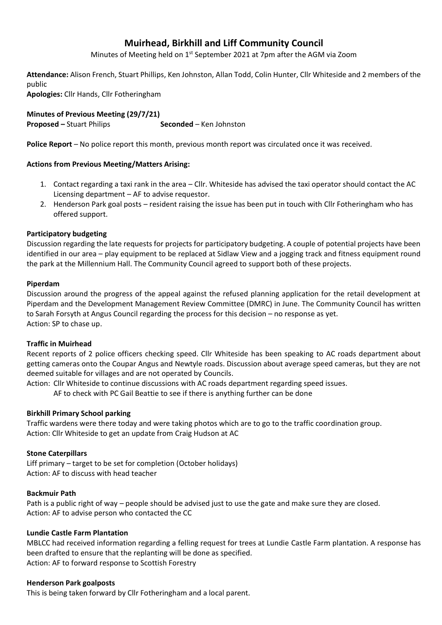# **Muirhead, Birkhill and Liff Community Council**

Minutes of Meeting held on 1<sup>st</sup> September 2021 at 7pm after the AGM via Zoom

**Attendance:** Alison French, Stuart Phillips, Ken Johnston, Allan Todd, Colin Hunter, Cllr Whiteside and 2 members of the public

**Apologies:** Cllr Hands, Cllr Fotheringham

**Minutes of Previous Meeting (29/7/21) Proposed –** Stuart Philips **Seconded** – Ken Johnston

**Police Report** – No police report this month, previous month report was circulated once it was received.

# **Actions from Previous Meeting/Matters Arising:**

- 1. Contact regarding a taxi rank in the area Cllr. Whiteside has advised the taxi operator should contact the AC Licensing department – AF to advise requestor.
- 2. Henderson Park goal posts resident raising the issue has been put in touch with Cllr Fotheringham who has offered support.

# **Participatory budgeting**

Discussion regarding the late requests for projects for participatory budgeting. A couple of potential projects have been identified in our area – play equipment to be replaced at Sidlaw View and a jogging track and fitness equipment round the park at the Millennium Hall. The Community Council agreed to support both of these projects.

## **Piperdam**

Discussion around the progress of the appeal against the refused planning application for the retail development at Piperdam and the Development Management Review Committee (DMRC) in June. The Community Council has written to Sarah Forsyth at Angus Council regarding the process for this decision – no response as yet. Action: SP to chase up.

## **Traffic in Muirhead**

Recent reports of 2 police officers checking speed. Cllr Whiteside has been speaking to AC roads department about getting cameras onto the Coupar Angus and Newtyle roads. Discussion about average speed cameras, but they are not deemed suitable for villages and are not operated by Councils.

Action: Cllr Whiteside to continue discussions with AC roads department regarding speed issues.

AF to check with PC Gail Beattie to see if there is anything further can be done

## **Birkhill Primary School parking**

Traffic wardens were there today and were taking photos which are to go to the traffic coordination group. Action: Cllr Whiteside to get an update from Craig Hudson at AC

## **Stone Caterpillars**

Liff primary – target to be set for completion (October holidays) Action: AF to discuss with head teacher

## **Backmuir Path**

Path is a public right of way – people should be advised just to use the gate and make sure they are closed. Action: AF to advise person who contacted the CC

## **Lundie Castle Farm Plantation**

MBLCC had received information regarding a felling request for trees at Lundie Castle Farm plantation. A response has been drafted to ensure that the replanting will be done as specified. Action: AF to forward response to Scottish Forestry

## **Henderson Park goalposts**

This is being taken forward by Cllr Fotheringham and a local parent.